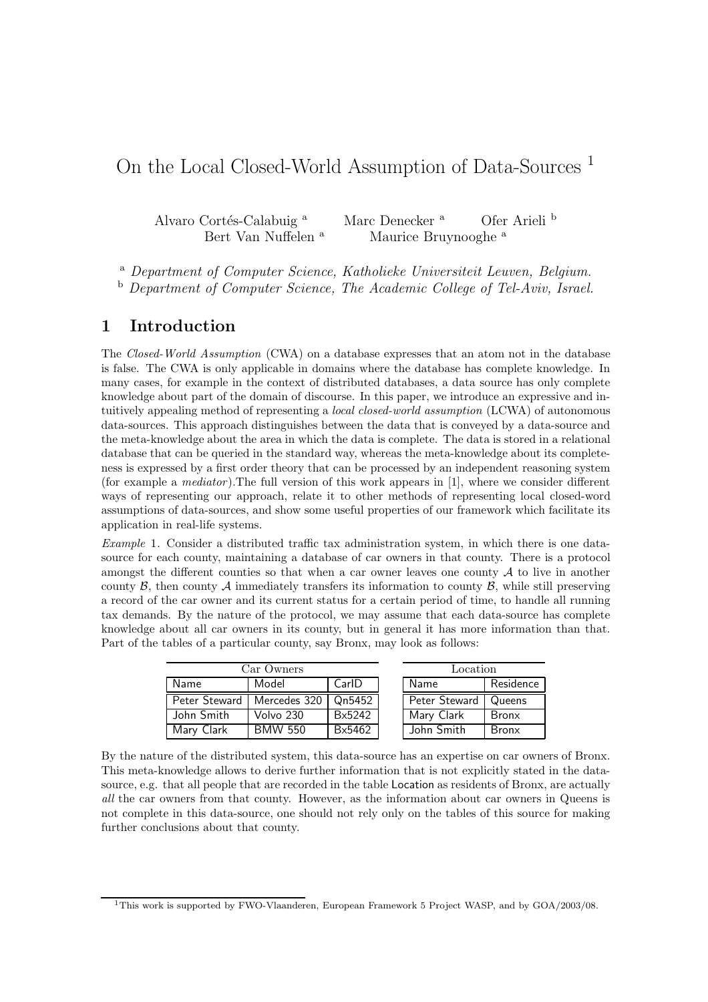## On the Local Closed-World Assumption of Data-Sources <sup>1</sup>

Alvaro Cortés-Calabuig<sup>a</sup> Marc Denecker<sup>a</sup> Ofer Arieli<sup>b</sup> Bert Van Nuffelen <sup>a</sup> Maurice Bruynooghe <sup>a</sup>

<sup>a</sup> Department of Computer Science, Katholieke Universiteit Leuven, Belgium. <sup>b</sup> Department of Computer Science, The Academic College of Tel-Aviv, Israel.

## 1 Introduction

The Closed-World Assumption (CWA) on a database expresses that an atom not in the database is false. The CWA is only applicable in domains where the database has complete knowledge. In many cases, for example in the context of distributed databases, a data source has only complete knowledge about part of the domain of discourse. In this paper, we introduce an expressive and intuitively appealing method of representing a *local closed-world assumption* (LCWA) of autonomous data-sources. This approach distinguishes between the data that is conveyed by a data-source and the meta-knowledge about the area in which the data is complete. The data is stored in a relational database that can be queried in the standard way, whereas the meta-knowledge about its completeness is expressed by a first order theory that can be processed by an independent reasoning system (for example a *mediator*). The full version of this work appears in  $[1]$ , where we consider different ways of representing our approach, relate it to other methods of representing local closed-word assumptions of data-sources, and show some useful properties of our framework which facilitate its application in real-life systems.

Example 1. Consider a distributed traffic tax administration system, in which there is one datasource for each county, maintaining a database of car owners in that county. There is a protocol amongst the different counties so that when a car owner leaves one county  $A$  to live in another county  $\beta$ , then county  $\mathcal A$  immediately transfers its information to county  $\beta$ , while still preserving a record of the car owner and its current status for a certain period of time, to handle all running tax demands. By the nature of the protocol, we may assume that each data-source has complete knowledge about all car owners in its county, but in general it has more information than that. Part of the tables of a particular county, say Bronx, may look as follows:

| Car Owners    |                |        |  | Location      |              |
|---------------|----------------|--------|--|---------------|--------------|
| Name          | Model          | CarlD  |  | Name          | Residence    |
| Peter Steward | Mercedes 320   | Qn5452 |  | Peter Steward | Queens       |
| John Smith    | Volvo 230      | Bx5242 |  | Mary Clark    | <b>Bronx</b> |
| Mary Clark    | <b>BMW 550</b> | Bx5462 |  | John Smith    | <b>Bronx</b> |

By the nature of the distributed system, this data-source has an expertise on car owners of Bronx. This meta-knowledge allows to derive further information that is not explicitly stated in the datasource, e.g. that all people that are recorded in the table Location as residents of Bronx, are actually all the car owners from that county. However, as the information about car owners in Queens is not complete in this data-source, one should not rely only on the tables of this source for making further conclusions about that county.

<sup>1</sup>This work is supported by FWO-Vlaanderen, European Framework 5 Project WASP, and by GOA/2003/08.